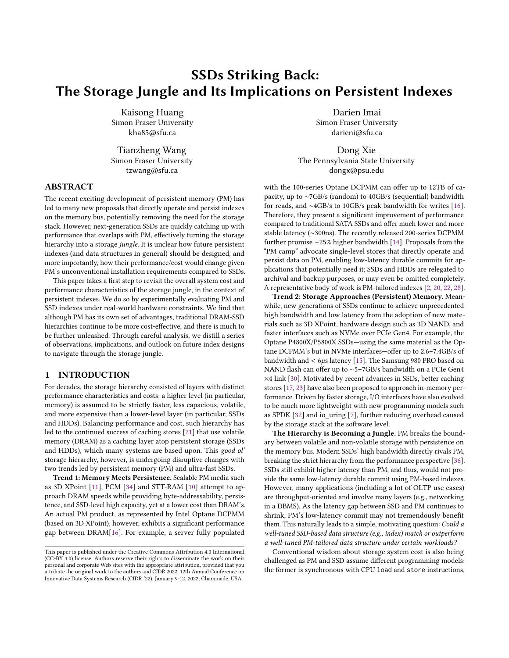# SSDs Striking Back: The Storage Jungle and Its Implications on Persistent Indexes

Kaisong Huang Simon Fraser University kha85@sfu.ca

Tianzheng Wang Simon Fraser University tzwang@sfu.ca

# ABSTRACT

The recent exciting development of persistent memory (PM) has led to many new proposals that directly operate and persist indexes on the memory bus, potentially removing the need for the storage stack. However, next-generation SSDs are quickly catching up with performance that overlaps with PM, effectively turning the storage hierarchy into a storage jungle. It is unclear how future persistent indexes (and data structures in general) should be designed, and more importantly, how their performance/cost would change given PM's unconventional installation requirements compared to SSDs.

This paper takes a first step to revisit the overall system cost and performance characteristics of the storage jungle, in the context of persistent indexes. We do so by experimentally evaluating PM and SSD indexes under real-world hardware constraints. We find that although PM has its own set of advantages, traditional DRAM-SSD hierarchies continue to be more cost-effective, and there is much to be further unleashed. Through careful analysis, we distill a series of observations, implications, and outlook on future index designs to navigate through the storage jungle.

### <span id="page-0-0"></span>1 INTRODUCTION

For decades, the storage hierarchy consisted of layers with distinct performance characteristics and costs: a higher level (in particular, memory) is assumed to be strictly faster, less capacious, volatile, and more expensive than a lower-level layer (in particular, SSDs and HDDs). Balancing performance and cost, such hierarchy has led to the continued success of caching stores [\[21\]](#page-7-0) that use volatile memory (DRAM) as a caching layer atop persistent storage (SSDs and HDDs), which many systems are based upon. This good ol' storage hierarchy, however, is undergoing disruptive changes with two trends led by persistent memory (PM) and ultra-fast SSDs.

Trend 1: Memory Meets Persistence. Scalable PM media such as 3D XPoint [\[11\]](#page-7-1), PCM [\[34\]](#page-7-2) and STT-RAM [\[10\]](#page-7-3) attempt to approach DRAM speeds while providing byte-addressability, persistence, and SSD-level high capacity, yet at a lower cost than DRAM's. An actual PM product, as represented by Intel Optane DCPMM (based on 3D XPoint), however, exhibits a significant performance gap between DRAM[\[16\]](#page-7-4). For example, a server fully populated

Darien Imai Simon Fraser University darieni@sfu.ca

Dong Xie The Pennsylvania State University dongx@psu.edu

with the 100-series Optane DCPMM can offer up to 12TB of capacity, up to ∼7GB/s (random) to 40GB/s (sequential) bandwidth for reads, and ∼4GB/s to 10GB/s peak bandwidth for writes [\[16\]](#page-7-4). Therefore, they present a significant improvement of performance compared to traditional SATA SSDs and offer much lower and more stable latency (∼300ns). The recently released 200-series DCPMM further promise ∼25% higher bandwidth [\[14\]](#page-7-5). Proposals from the "PM camp" advocate single-level stores that directly operate and persist data on PM, enabling low-latency durable commits for applications that potentially need it; SSDs and HDDs are relegated to archival and backup purposes, or may even be omitted completely. A representative body of work is PM-tailored indexes [\[2,](#page-7-6) [20,](#page-7-7) [22,](#page-7-8) [28\]](#page-7-9).

Trend 2: Storage Approaches (Persistent) Memory. Meanwhile, new generations of SSDs continue to achieve unprecedented high bandwidth and low latency from the adoption of new materials such as 3D XPoint, hardware design such as 3D NAND, and faster interfaces such as NVMe over PCIe Gen4. For example, the Optane P4800X/P5800X SSDs—using the same material as the Optane DCPMM's but in NVMe interfaces—offer up to 2.6–7.4GB/s of bandwidth and  $<$  6 $\mu$ s latency [\[15\]](#page-7-10). The Samsung 980 PRO based on NAND flash can offer up to ∼5–7GB/s bandwidth on a PCIe Gen4 ×4 link [\[30\]](#page-7-11). Motivated by recent advances in SSDs, better caching stores [\[17,](#page-7-12) [23\]](#page-7-13) have also been proposed to approach in-memory performance. Driven by faster storage, I/O interfaces have also evolved to be much more lightweight with new programming models such as SPDK [\[32\]](#page-7-14) and io\_uring [\[7\]](#page-7-15), further reducing overhead caused by the storage stack at the software level.

The Hierarchy is Becoming a Jungle. PM breaks the boundary between volatile and non-volatile storage with persistence on the memory bus. Modern SSDs' high bandwidth directly rivals PM, breaking the strict hierarchy from the performance perspective [\[36\]](#page-7-16). SSDs still exhibit higher latency than PM, and thus, would not provide the same low-latency durable commit using PM-based indexes. However, many applications (including a lot of OLTP use cases) are throughput-oriented and involve many layers (e.g., networking in a DBMS). As the latency gap between SSD and PM continues to shrink, PM's low-latency commit may not tremendously benefit them. This naturally leads to a simple, motivating question: Could a well-tuned SSD-based data structure (e.g., index) match or outperform a well-tuned PM-tailored data structure under certain workloads?

Conventional wisdom about storage system cost is also being challenged as PM and SSD assume different programming models: the former is synchronous with CPU load and store instructions,

This paper is published under the Creative Commons Attribution 4.0 International (CC-BY 4.0) license. Authors reserve their rights to disseminate the work on their personal and corporate Web sites with the appropriate attribution, provided that you attribute the original work to the authors and CIDR 2022. 12th Annual Conference on Innovative Data Systems Research (CIDR '22). January 9-12, 2022, Chaminade, USA.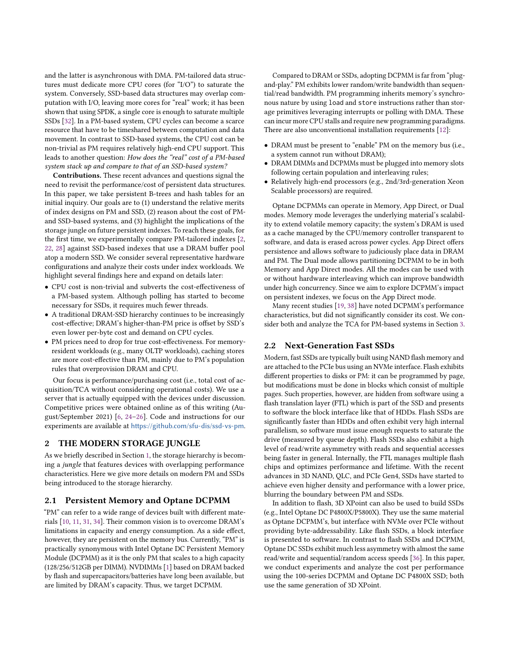and the latter is asynchronous with DMA. PM-tailored data structures must dedicate more CPU cores (for "I/O") to saturate the system. Conversely, SSD-based data structures may overlap computation with I/O, leaving more cores for "real" work; it has been shown that using SPDK, a single core is enough to saturate multiple SSDs [\[32\]](#page-7-14). In a PM-based system, CPU cycles can become a scarce resource that have to be timeshared between computation and data movement. In contrast to SSD-based systems, the CPU cost can be non-trivial as PM requires relatively high-end CPU support. This leads to another question: How does the "real" cost of a PM-based system stack up and compare to that of an SSD-based system?

Contributions. These recent advances and questions signal the need to revisit the performance/cost of persistent data structures. In this paper, we take persistent B-trees and hash tables for an initial inquiry. Our goals are to (1) understand the relative merits of index designs on PM and SSD, (2) reason about the cost of PMand SSD-based systems, and (3) highlight the implications of the storage jungle on future persistent indexes. To reach these goals, for the first time, we experimentally compare PM-tailored indexes [\[2,](#page-7-6) [22,](#page-7-8) [28\]](#page-7-9) against SSD-based indexes that use a DRAM buffer pool atop a modern SSD. We consider several representative hardware configurations and analyze their costs under index workloads. We highlight several findings here and expand on details later:

- CPU cost is non-trivial and subverts the cost-effectiveness of a PM-based system. Although polling has started to become necessary for SSDs, it requires much fewer threads.
- A traditional DRAM-SSD hierarchy continues to be increasingly cost-effective; DRAM's higher-than-PM price is offset by SSD's even lower per-byte cost and demand on CPU cycles.
- PM prices need to drop for true cost-effectiveness. For memoryresident workloads (e.g., many OLTP workloads), caching stores are more cost-effective than PM, mainly due to PM's population rules that overprovision DRAM and CPU.

Our focus is performance/purchasing cost (i.e., total cost of acquisition/TCA without considering operational costs). We use a server that is actually equipped with the devices under discussion. Competitive prices were obtained online as of this writing (August/September 2021) [\[6,](#page-7-17) [24–](#page-7-18)[26\]](#page-7-19). Code and instructions for our experiments are available at <https://github.com/sfu-dis/ssd-vs-pm>.

## 2 THE MODERN STORAGE JUNGLE

As we briefly described in Section [1,](#page-0-0) the storage hierarchy is becoming a jungle that features devices with overlapping performance characteristics. Here we give more details on modern PM and SSDs being introduced to the storage hierarchy.

#### 2.1 Persistent Memory and Optane DCPMM

"PM" can refer to a wide range of devices built with different materials [\[10,](#page-7-3) [11,](#page-7-1) [31,](#page-7-20) [34\]](#page-7-2). Their common vision is to overcome DRAM's limitations in capacity and energy consumption. As a side effect, however, they are persistent on the memory bus. Currently, "PM" is practically synonymous with Intel Optane DC Persistent Memory Module (DCPMM) as it is the only PM that scales to a high capacity (128/256/512GB per DIMM). NVDIMMs [\[1\]](#page-7-21) based on DRAM backed by flash and supercapacitors/batteries have long been available, but are limited by DRAM's capacity. Thus, we target DCPMM.

Compared to DRAM or SSDs, adopting DCPMM is far from "plugand-play." PM exhibits lower random/write bandwidth than sequential/read bandwidth. PM programming inherits memory's synchronous nature by using load and store instructions rather than storage primitives leveraging interrupts or polling with DMA. These can incur more CPU stalls and require new programming paradigms. There are also unconventional installation requirements [\[12\]](#page-7-22):

- DRAM must be present to "enable" PM on the memory bus (i.e., a system cannot run without DRAM);
- DRAM DIMMs and DCPMMs must be plugged into memory slots following certain population and interleaving rules;
- Relatively high-end processors (e.g., 2nd/3rd-generation Xeon Scalable processors) are required.

Optane DCPMMs can operate in Memory, App Direct, or Dual modes. Memory mode leverages the underlying material's scalability to extend volatile memory capacity; the system's DRAM is used as a cache managed by the CPU/memory controller transparent to software, and data is erased across power cycles. App Direct offers persistence and allows software to judiciously place data in DRAM and PM. The Dual mode allows partitioning DCPMM to be in both Memory and App Direct modes. All the modes can be used with or without hardware interleaving which can improve bandwidth under high concurrency. Since we aim to explore DCPMM's impact on persistent indexes, we focus on the App Direct mode.

Many recent studies [\[19,](#page-7-23) [38\]](#page-7-24) have noted DCPMM's performance characteristics, but did not significantly consider its cost. We consider both and analyze the TCA for PM-based systems in Section [3.](#page-2-0)

#### 2.2 Next-Generation Fast SSDs

Modern, fast SSDs are typically built using NAND flash memory and are attached to the PCIe bus using an NVMe interface. Flash exhibits different properties to disks or PM: it can be programmed by page, but modifications must be done in blocks which consist of multiple pages. Such properties, however, are hidden from software using a flash translation layer (FTL) which is part of the SSD and presents to software the block interface like that of HDDs. Flash SSDs are significantly faster than HDDs and often exhibit very high internal parallelism, so software must issue enough requests to saturate the drive (measured by queue depth). Flash SSDs also exhibit a high level of read/write asymmetry with reads and sequential accesses being faster in general. Internally, the FTL manages multiple flash chips and optimizes performance and lifetime. With the recent advances in 3D NAND, QLC, and PCIe Gen4, SSDs have started to achieve even higher density and performance with a lower price, blurring the boundary between PM and SSDs.

In addition to flash, 3D XPoint can also be used to build SSDs (e.g., Intel Optane DC P4800X/P5800X). They use the same material as Optane DCPMM's, but interface with NVMe over PCIe without providing byte-addressability. Like flash SSDs, a block interface is presented to software. In contrast to flash SSDs and DCPMM, Optane DC SSDs exhibit much less asymmetry with almost the same read/write and sequential/random access speeds [\[36\]](#page-7-16). In this paper, we conduct experiments and analyze the cost per performance using the 100-series DCPMM and Optane DC P4800X SSD; both use the same generation of 3D XPoint.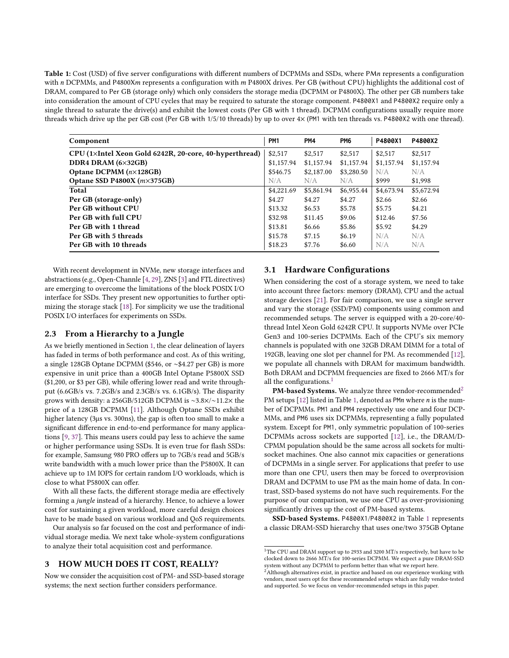<span id="page-2-3"></span>Table 1: Cost (USD) of five server configurations with different numbers of DCPMMs and SSDs, where PMn represents a configuration with  $n$  DCPMMs, and P4800X $m$  represents a configuration with  $m$  P4800X drives. Per GB (without CPU) highlights the additional cost of DRAM, compared to Per GB (storage only) which only considers the storage media (DCPMM or P4800X). The other per GB numbers take into consideration the amount of CPU cycles that may be required to saturate the storage component. P4800X1 and P4800X2 require only a single thread to saturate the drive(s) and exhibit the lowest costs (Per GB with 1 thread). DCPMM configurations usually require more threads which drive up the per GB cost (Per GB with 1/5/10 threads) by up to over 4× (PM1 with ten threads vs. P4800X2 with one thread).

| Component                                              | PM <sub>1</sub> | PM4        | PM <sub>6</sub> | P4800X1    | P4800X2    |
|--------------------------------------------------------|-----------------|------------|-----------------|------------|------------|
| CPU (1×Intel Xeon Gold 6242R, 20-core, 40-hyperthread) | \$2,517         | \$2,517    | \$2,517         | \$2,517    | \$2,517    |
| DDR4 DRAM (6×32GB)                                     | \$1,157.94      | \$1,157.94 | \$1,157.94      | \$1,157.94 | \$1,157.94 |
| Optane DCPMM (n×128GB)                                 | \$546.75        | \$2,187.00 | \$3,280.50      | N/A        | N/A        |
| Optane SSD P4800X $(m \times 375GB)$                   | N/A             | N/A        | N/A             | \$999      | \$1,998    |
| Total                                                  | \$4,221.69      | \$5,861.94 | \$6,955.44      | \$4,673.94 | \$5,672.94 |
| Per GB (storage-only)                                  | \$4.27          | \$4.27     | \$4.27          | \$2.66     | \$2.66     |
| Per GB without CPU                                     | \$13.32         | \$6.53     | \$5.78          | \$5.75     | \$4.21     |
| Per GB with full CPU                                   | \$32.98         | \$11.45    | \$9.06          | \$12.46    | \$7.56     |
| Per GB with 1 thread                                   | \$13.81         | \$6.66     | \$5.86          | \$5.92     | \$4.29     |
| Per GB with 5 threads                                  | \$15.78         | \$7.15     | \$6.19          | N/A        | N/A        |
| Per GB with 10 threads                                 | \$18.23         | \$7.76     | \$6.60          | N/A        | N/A        |

With recent development in NVMe, new storage interfaces and abstractions (e.g., Open-Channle [\[4,](#page-7-25) [29\]](#page-7-26), ZNS [\[3\]](#page-7-27) and FTL directives) are emerging to overcome the limitations of the block POSIX I/O interface for SSDs. They present new opportunities to further optimizing the storage stack [\[18\]](#page-7-28). For simplicity we use the traditional POSIX I/O interfaces for experiments on SSDs.

### <span id="page-2-4"></span>2.3 From a Hierarchy to a Jungle

As we briefly mentioned in Section [1,](#page-0-0) the clear delineation of layers has faded in terms of both performance and cost. As of this writing, a single 128GB Optane DCPMM (\$546, or ∼\$4.27 per GB) is more expensive in unit price than a 400GB Intel Optane P5800X SSD (\$1,200, or \$3 per GB), while offering lower read and write throughput (6.6GB/s vs. 7.2GB/s and 2.3GB/s vs. 6.1GB/s). The disparity grows with density: a 256GB/512GB DCPMM is ∼3.8×/∼11.2× the price of a 128GB DCPMM [\[11\]](#page-7-1). Although Optane SSDs exhibit higher latency (3µs vs. 300ns), the gap is often too small to make a significant difference in end-to-end performance for many applications [\[9,](#page-7-29) [37\]](#page-7-30). This means users could pay less to achieve the same or higher performance using SSDs. It is even true for flash SSDs: for example, Samsung 980 PRO offers up to 7GB/s read and 5GB/s write bandwidth with a much lower price than the P5800X. It can achieve up to 1M IOPS for certain random I/O workloads, which is close to what P5800X can offer.

With all these facts, the different storage media are effectively forming a jungle instead of a hierarchy. Hence, to achieve a lower cost for sustaining a given workload, more careful design choices have to be made based on various workload and QoS requirements.

Our analysis so far focused on the cost and performance of individual storage media. We next take whole-system configurations to analyze their total acquisition cost and performance.

### <span id="page-2-0"></span>3 HOW MUCH DOES IT COST, REALLY?

Now we consider the acquisition cost of PM- and SSD-based storage systems; the next section further considers performance.

## <span id="page-2-5"></span>3.1 Hardware Configurations

When considering the cost of a storage system, we need to take into account three factors: memory (DRAM), CPU and the actual storage devices [\[21\]](#page-7-0). For fair comparison, we use a single server and vary the storage (SSD/PM) components using common and recommended setups. The server is equipped with a 20-core/40 thread Intel Xeon Gold 6242R CPU. It supports NVMe over PCIe Gen3 and 100-series DCPMMs. Each of the CPU's six memory channels is populated with one 32GB DRAM DIMM for a total of 192GB, leaving one slot per channel for PM. As recommended [\[12\]](#page-7-22), we populate all channels with DRAM for maximum bandwidth. Both DRAM and DCPMM frequencies are fixed to 2666 MT/s for all the configurations.<sup>[1](#page-2-1)</sup>

**PM-based Systems.** We analyze three vendor-recommended<sup>[2](#page-2-2)</sup> PM setups  $[12]$  listed in Table [1,](#page-2-3) denoted as PMn where *n* is the number of DCPMMs. PM1 and PM4 respectively use one and four DCP-MMs, and PM6 uses six DCPMMs, representing a fully populated system. Except for PM1, only symmetric population of 100-series DCPMMs across sockets are supported [\[12\]](#page-7-22), i.e., the DRAM/D-CPMM population should be the same across all sockets for multisocket machines. One also cannot mix capacities or generations of DCPMMs in a single server. For applications that prefer to use more than one CPU, users then may be forced to overprovision DRAM and DCPMM to use PM as the main home of data. In contrast, SSD-based systems do not have such requirements. For the purpose of our comparison, we use one CPU as over-provisioning significantly drives up the cost of PM-based systems.

SSD-based Systems. P4800X1/P4800X2 in Table [1](#page-2-3) represents a classic DRAM-SSD hierarchy that uses one/two 375GB Optane

<span id="page-2-1"></span><sup>&</sup>lt;sup>1</sup>The CPU and DRAM support up to 2933 and 3200 MT/s respectively, but have to be clocked down to 2666 MT/s for 100-series DCPMM. We expect a pure DRAM-SSD system without any DCPMM to perform better than what we report here.

<span id="page-2-2"></span> $2$ Although alternatives exist, in practice and based on our experience working with vendors, most users opt for these recommended setups which are fully vendor-tested and supported. So we focus on vendor-recommended setups in this paper.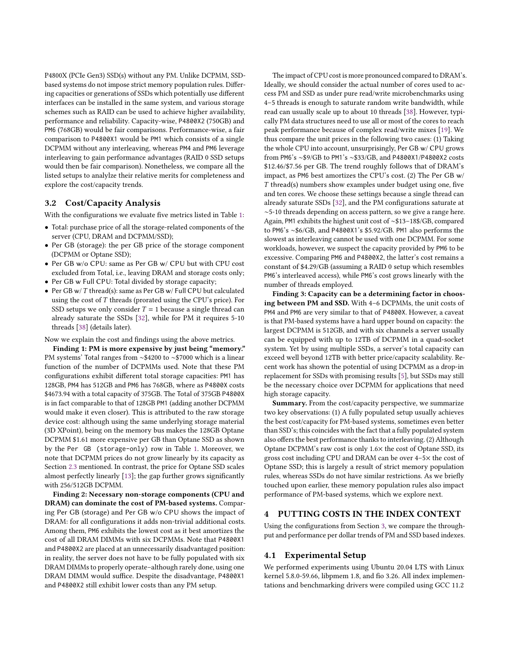P4800X (PCIe Gen3) SSD(s) without any PM. Unlike DCPMM, SSDbased systems do not impose strict memory population rules. Differing capacities or generations of SSDs which potentially use different interfaces can be installed in the same system, and various storage schemes such as RAID can be used to achieve higher availability, performance and reliability. Capacity-wise, P4800X2 (750GB) and PM6 (768GB) would be fair comparisons. Performance-wise, a fair comparison to P4800X1 would be PM1 which consists of a single DCPMM without any interleaving, whereas PM4 and PM6 leverage interleaving to gain performance advantages (RAID 0 SSD setups would then be fair comparison). Nonetheless, we compare all the listed setups to analylze their relative merits for completeness and explore the cost/capacity trends.

### 3.2 Cost/Capacity Analysis

With the configurations we evaluate five metrics listed in Table [1:](#page-2-3)

- Total: purchase price of all the storage-related components of the server (CPU, DRAM and DCPMM/SSD);
- Per GB (storage): the per GB price of the storage component (DCPMM or Optane SSD);
- Per GB w/o CPU: same as Per GB w/ CPU but with CPU cost excluded from Total, i.e., leaving DRAM and storage costs only;
- Per GB w Full CPU: Total divided by storage capacity;
- Per GB w/  $T$  thread(s): same as Per GB w/ Full CPU but calculated using the cost of  $T$  threads (prorated using the CPU's price). For SSD setups we only consider  $T = 1$  because a single thread can already saturate the SSDs [\[32\]](#page-7-14), while for PM it requires 5-10 threads [\[38\]](#page-7-24) (details later).

Now we explain the cost and findings using the above metrics.

Finding 1: PM is more expensive by just being "memory." PM systems' Total ranges from ∼\$4200 to ∼\$7000 which is a linear function of the number of DCPMMs used. Note that these PM configurations exhibit different total storage capacities: PM1 has 128GB, PM4 has 512GB and PM6 has 768GB, where as P4800X costs \$4673.94 with a total capacity of 375GB. The Total of 375GB P4800X is in fact comparable to that of 128GB PM1 (adding another DCPMM would make it even closer). This is attributed to the raw storage device cost: although using the same underlying storage material (3D XPoint), being on the memory bus makes the 128GB Optane DCPMM \$1.61 more expensive per GB than Optane SSD as shown by the Per GB (storage-only) row in Table [1.](#page-2-3) Moreover, we note that DCPMM prices do not grow linearly by its capacity as Section [2.3](#page-2-4) mentioned. In contrast, the price for Optane SSD scales almost perfectly linearly [\[13\]](#page-7-31); the gap further grows significantly with 256/512GB DCPMM.

Finding 2: Necessary non-storage components (CPU and DRAM) can dominate the cost of PM-based systems. Comparing Per GB (storage) and Per GB w/o CPU shows the impact of DRAM: for all configurations it adds non-trivial additional costs. Among them, PM6 exhibits the lowest cost as it best amortizes the cost of all DRAM DIMMs with six DCPMMs. Note that P4800X1 and P4800X2 are placed at an unnecessarily disadvantaged position: in reality, the server does not have to be fully populated with six DRAM DIMMs to properly operate–although rarely done, using one DRAM DIMM would suffice. Despite the disadvantage, P4800X1 and P4800X2 still exhibit lower costs than any PM setup.

The impact of CPU cost is more pronounced compared to DRAM's. Ideally, we should consider the actual number of cores used to access PM and SSD as under pure read/write microbenchmarks using 4–5 threads is enough to saturate random write bandwidth, while read can usually scale up to about 10 threads [\[38\]](#page-7-24). However, typically PM data structures need to use all or most of the cores to reach peak performance because of complex read/write mixes [\[19\]](#page-7-23). We thus compare the unit prices in the following two cases: (1) Taking the whole CPU into account, unsurprisingly, Per GB w/ CPU grows from PM6's ∼\$9/GB to PM1's ∼\$33/GB, and P4800X1/P4800X2 costs \$12.46/\$7.56 per GB. The trend roughly follows that of DRAM's impact, as PM6 best amortizes the CPU's cost. (2) The Per GB w/  $T$  thread(s) numbers show examples under budget using one, five and ten cores. We choose these settings because a single thread can already saturate SSDs [\[32\]](#page-7-14), and the PM configurations saturate at ∼5-10 threads depending on access pattern, so we give a range here. Again, PM1 exhibits the highest unit cost of ∼\$13–18\$/GB, compared to PM6's ∼\$6/GB, and P4800X1's \$5.92/GB. PM1 also performs the slowest as interleaving cannot be used with one DCPMM. For some workloads, however, we suspect the capacity provided by PM6 to be excessive. Comparing PM6 and P4800X2, the latter's cost remains a constant of \$4.29/GB (assuming a RAID 0 setup which resembles PM6's interleaved access), while PM6's cost grows linearly with the number of threads employed.

Finding 3: Capacity can be a determining factor in choosing between PM and SSD. With 4–6 DCPMMs, the unit costs of PM4 and PM6 are very similar to that of P4800X. However, a caveat is that PM-based systems have a hard upper bound on capacity: the largest DCPMM is 512GB, and with six channels a server usually can be equipped with up to 12TB of DCPMM in a quad-socket system. Yet by using multiple SSDs, a server's total capacity can exceed well beyond 12TB with better price/capacity scalability. Recent work has shown the potential of using DCPMM as a drop-in replacement for SSDs with promising results [\[5\]](#page-7-32), but SSDs may still be the necessary choice over DCPMM for applications that need high storage capacity.

Summary. From the cost/capacity perspective, we summarize two key observations: (1) A fully populated setup usually achieves the best cost/capacity for PM-based systems, sometimes even better than SSD's; this coincides with the fact that a fully populated system also offers the best performance thanks to interleaving. (2) Although Optane DCPMM's raw cost is only 1.6× the cost of Optane SSD, its gross cost including CPU and DRAM can be over 4–5× the cost of Optane SSD; this is largely a result of strict memory population rules, whereas SSDs do not have similar restrictions. As we briefly touched upon earlier, these memory population rules also impact performance of PM-based systems, which we explore next.

## <span id="page-3-0"></span>4 PUTTING COSTS IN THE INDEX CONTEXT

Using the configurations from Section [3,](#page-2-0) we compare the throughput and performance per dollar trends of PM and SSD based indexes.

#### 4.1 Experimental Setup

We performed experiments using Ubuntu 20.04 LTS with Linux kernel 5.8.0-59.66, libpmem 1.8, and fio 3.26. All index implementations and benchmarking drivers were compiled using GCC 11.2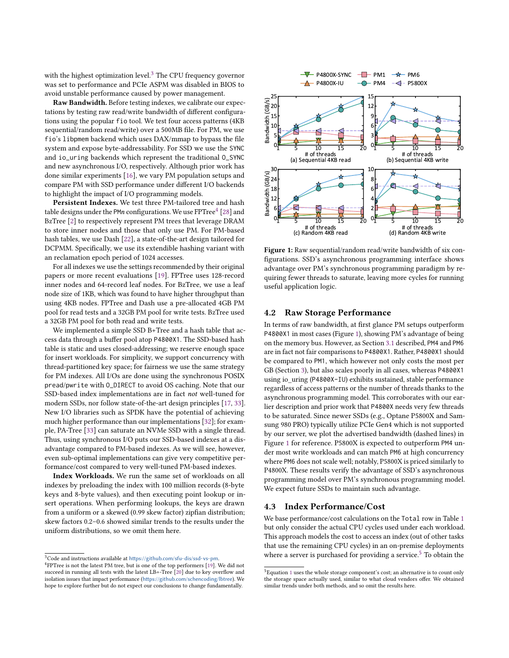with the highest optimization level. $3$  The CPU frequency governor was set to performance and PCIe ASPM was disabled in BIOS to avoid unstable performance caused by power management.

Raw Bandwidth. Before testing indexes, we calibrate our expectations by testing raw read/write bandwidth of different configurations using the popular fio tool. We test four access patterns (4KB sequential/random read/write) over a 500MB file. For PM, we use fio's libpmem backend which uses DAX/mmap to bypass the file system and expose byte-addressability. For SSD we use the SYNC and io\_uring backends which represent the traditional O\_SYNC and new asynchronous I/O, respectively. Although prior work has done similar experiments [\[16\]](#page-7-4), we vary PM population setups and compare PM with SSD performance under different I/O backends to highlight the impact of I/O programming models.

Persistent Indexes. We test three PM-tailored tree and hash table designs under the PM $\emph{n}$  configurations. We use FPTree $^4$  $^4$  [\[28\]](#page-7-9) and BzTree [\[2\]](#page-7-6) to respectively represent PM trees that leverage DRAM to store inner nodes and those that only use PM. For PM-based hash tables, we use Dash [\[22\]](#page-7-8), a state-of-the-art design tailored for DCPMM. Specifically, we use its extendible hashing variant with an reclamation epoch period of 1024 accesses.

For all indexes we use the settings recommended by their original papers or more recent evaluations [\[19\]](#page-7-23). FPTree uses 128-record inner nodes and 64-record leaf nodes. For BzTree, we use a leaf node size of 1KB, which was found to have higher throughput than using 4KB nodes. FPTree and Dash use a pre-allocated 4GB PM pool for read tests and a 32GB PM pool for write tests. BzTree used a 32GB PM pool for both read and write tests.

We implemented a simple SSD B+Tree and a hash table that access data through a buffer pool atop P4800X1. The SSD-based hash table is static and uses closed-addressing; we reserve enough space for insert workloads. For simplicity, we support concurrency with thread-partitioned key space; for fairness we use the same strategy for PM indexes. All I/Os are done using the synchronous POSIX pread/pwrite with O\_DIRECT to avoid OS caching. Note that our SSD-based index implementations are in fact not well-tuned for modern SSDs, nor follow state-of-the-art design principles [\[17,](#page-7-12) [33\]](#page-7-33). New I/O libraries such as SPDK have the potential of achieving much higher performance than our implementations [\[32\]](#page-7-14); for example, PA-Tree [\[33\]](#page-7-33) can saturate an NVMe SSD with a single thread. Thus, using synchronous I/O puts our SSD-based indexes at a disadvantage compared to PM-based indexes. As we will see, however, even sub-optimal implementations can give very competitive performance/cost compared to very well-tuned PM-based indexes.

Index Workloads. We run the same set of workloads on all indexes by preloading the index with 100 million records (8-byte keys and 8-byte values), and then executing point lookup or insert operations. When performing lookups, the keys are drawn from a uniform or a skewed (0.99 skew factor) zipfian distribution; skew factors 0.2–0.6 showed similar trends to the results under the uniform distributions, so we omit them here.

<span id="page-4-2"></span>

Figure 1: Raw sequential/random read/write bandwidth of six configurations. SSD's asynchronous programming interface shows advantage over PM's synchronous programming paradigm by requiring fewer threads to saturate, leaving more cycles for running useful application logic.

#### 4.2 Raw Storage Performance

In terms of raw bandwidth, at first glance PM setups outperform P4800X1 in most cases (Figure [1\)](#page-4-2), showing PM's advantage of being on the memory bus. However, as Section [3.1](#page-2-5) described, PM4 and PM6 are in fact not fair comparisons to P4800X1. Rather, P4800X1 should be compared to PM1, which however not only costs the most per GB (Section [3\)](#page-2-0), but also scales poorly in all cases, whereas P4800X1 using io\_uring (P4800X-IU) exhibits sustained, stable performance regardless of access patterns or the number of threads thanks to the asynchronous programming model. This corroborates with our earlier description and prior work that P4800X needs very few threads to be saturated. Since newer SSDs (e.g., Optane P5800X and Samsung 980 PRO) typically utilize PCIe Gen4 which is not supported by our server, we plot the advertised bandwidth (dashed lines) in Figure [1](#page-4-2) for reference. P5800X is expected to outperform PM4 under most write workloads and can match PM6 at high concurrency where PM6 does not scale well; notably, P5800X is priced similarly to P4800X. These results verify the advantage of SSD's asynchronous programming model over PM's synchronous programming model. We expect future SSDs to maintain such advantage.

# 4.3 Index Performance/Cost

We base performance/cost calculations on the Total row in Table [1](#page-2-3) but only consider the actual CPU cycles used under each workload. This approach models the cost to access an index (out of other tasks that use the remaining CPU cycles) in an on-premise deployments where a server is purchased for providing a service.<sup>[5](#page-4-3)</sup> To obtain the

<span id="page-4-0"></span> ${\rm ^3Code}$  and instructions available at <https://github.com/sfu-dis/ssd-vs-pm>

<span id="page-4-1"></span><sup>&</sup>lt;sup>4</sup>FPTree is not the latest PM tree, but is one of the top performers [\[19\]](#page-7-23). We did not succeed in running all tests with the latest LB+-Tree [\[20\]](#page-7-7) due to key overflow and isolation issues that impact performance (<https://github.com/schencoding/lbtree>). We hope to explore further but do not expect our conclusions to change fundamentally.

<span id="page-4-3"></span><sup>5</sup>Equation [1](#page-5-0) uses the whole storage component's cost; an alternative is to count only the storage space actually used, similar to what cloud vendors offer. We obtained similar trends under both methods, and so omit the results here.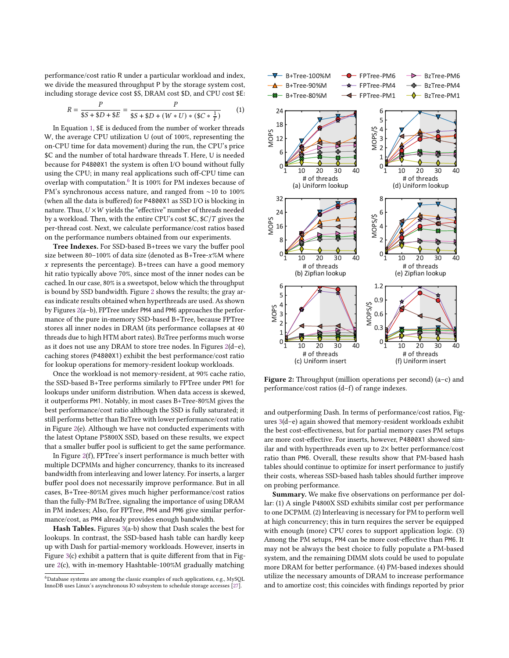performance/cost ratio R under a particular workload and index, we divide the measured throughput P by the storage system cost, including storage device cost \$S, DRAM cost \$D, and CPU cost \$E:

<span id="page-5-0"></span>
$$
R = \frac{P}{\$S + \$D + \$E} = \frac{P}{\$S + \$D + (W * U) * (\$C * \frac{1}{T})}
$$
(1)

In Equation [1,](#page-5-0) \$E is deduced from the number of worker threads W, the average CPU utilization U (out of 100%, representing the on-CPU time for data movement) during the run, the CPU's price \$C and the number of total hardware threads T. Here, U is needed because for P4800X1 the system is often I/O bound without fully using the CPU; in many real applications such off-CPU time can overlap with computation.<sup>[6](#page-5-1)</sup> It is 100% for PM indexes because of PM's synchronous access nature, and ranged from ∼10 to 100% (when all the data is buffered) for P4800X1 as SSD I/O is blocking in nature. Thus,  $U \times W$  yields the "effective" number of threads needed by a workload. Then, with the entire CPU's cost  $C$ ,  $C/T$  gives the per-thread cost. Next, we calculate performance/cost ratios based on the performance numbers obtained from our experiments.

Tree Indexes. For SSD-based B+trees we vary the buffer pool size between 80-100% of data size (denoted as  $B + Tree-x^{\omega}M$  where  $x$  represents the percentage). B+trees can have a good memory hit ratio typically above 70%, since most of the inner nodes can be cached. In our case, 80% is a sweetspot, below which the throughput is bound by SSD bandwidth. Figure [2](#page-5-2) shows the results; the gray areas indicate results obtained when hyperthreads are used. As shown by Figures [2\(](#page-5-2)a–b), FPTree under PM4 and PM6 approaches the performance of the pure in-memory SSD-based B+Tree, because FPTree stores all inner nodes in DRAM (its performance collapses at 40 threads due to high HTM abort rates). BzTree performs much worse as it does not use any DRAM to store tree nodes. In Figures [2\(](#page-5-2)d–e), caching stores (P4800X1) exhibit the best performance/cost ratio for lookup operations for memory-resident lookup workloads.

Once the workload is not memory-resident, at 90% cache ratio, the SSD-based B+Tree performs similarly to FPTree under PM1 for lookups under uniform distribution. When data access is skewed, it outperforms PM1. Notably, in most cases B+Tree-80%M gives the best performance/cost ratio although the SSD is fully saturated; it still performs better than BzTree with lower performance/cost ratio in Figure [2\(](#page-5-2)e). Although we have not conducted experiments with the latest Optane P5800X SSD, based on these results, we expect that a smaller buffer pool is sufficient to get the same performance.

In Figure [2\(](#page-5-2)f), FPTree's insert performance is much better with multiple DCPMMs and higher concurrency, thanks to its increased bandwidth from interleaving and lower latency. For inserts, a larger buffer pool does not necessarily improve performance. But in all cases, B+Tree-80%M gives much higher performance/cost ratios than the fully-PM BzTree, signaling the importance of using DRAM in PM indexes; Also, for FPTree, PM4 and PM6 give similar performance/cost, as PM4 already provides enough bandwidth.

Hash Tables. Figures [3\(](#page-6-0)a-b) show that Dash scales the best for lookups. In contrast, the SSD-based hash table can hardly keep up with Dash for partial-memory workloads. However, inserts in Figure [3\(](#page-6-0)c) exhibit a pattern that is quite different from that in Figure [2\(](#page-5-2)c), with in-memory Hashtable-100%M gradually matching

<span id="page-5-2"></span>

Figure 2: Throughput (million operations per second) (a–c) and performance/cost ratios (d–f) of range indexes.

and outperforming Dash. In terms of performance/cost ratios, Figures [3\(](#page-6-0)d–e) again showed that memory-resident workloads exhibit the best cost-effectiveness, but for partial memory cases PM setups are more cost-effective. For inserts, however, P4800X1 showed similar and with hyperthreads even up to  $2\times$  better performance/cost ratio than PM6. Overall, these results show that PM-based hash tables should continue to optimize for insert performance to justify their costs, whereas SSD-based hash tables should further improve on probing performance.

Summary. We make five observations on performance per dollar: (1) A single P4800X SSD exhibits similar cost per performance to one DCPMM. (2) Interleaving is necessary for PM to perform well at high concurrency; this in turn requires the server be equipped with enough (more) CPU cores to support application logic. (3) Among the PM setups, PM4 can be more cost-effective than PM6. It may not be always the best choice to fully populate a PM-based system, and the remaining DIMM slots could be used to populate more DRAM for better performance. (4) PM-based indexes should utilize the necessary amounts of DRAM to increase performance and to amortize cost; this coincides with findings reported by prior

<span id="page-5-1"></span><sup>6</sup>Database systems are among the classic examples of such applications, e.g., MySQL InnoDB uses Linux's asynchronous IO subsystem to schedule storage accesses [\[27\]](#page-7-34).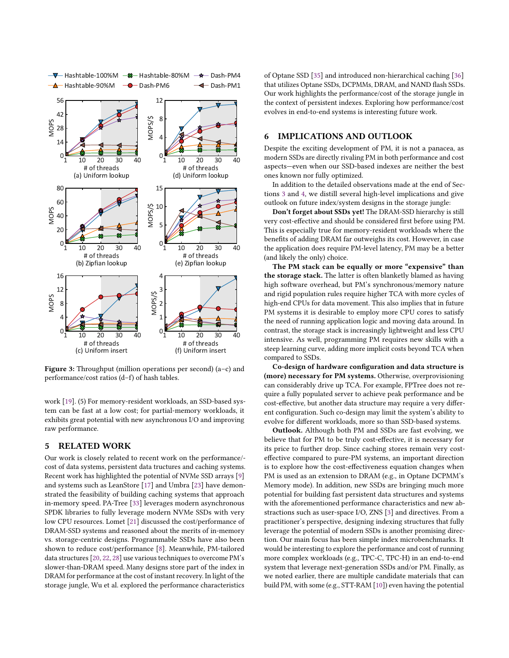<span id="page-6-0"></span>

Figure 3: Throughput (million operations per second) (a–c) and performance/cost ratios (d–f) of hash tables.

work [\[19\]](#page-7-23). (5) For memory-resident workloads, an SSD-based system can be fast at a low cost; for partial-memory workloads, it exhibits great potential with new asynchronous I/O and improving raw performance.

## 5 RELATED WORK

Our work is closely related to recent work on the performance/ cost of data systems, persistent data tructures and caching systems. Recent work has highlighted the potential of NVMe SSD arrays [\[9\]](#page-7-29) and systems such as LeanStore [\[17\]](#page-7-12) and Umbra [\[23\]](#page-7-13) have demonstrated the feasibility of building caching systems that approach in-memory speed. PA-Tree [\[33\]](#page-7-33) leverages modern asynchronous SPDK libraries to fully leverage modern NVMe SSDs with very low CPU resources. Lomet [\[21\]](#page-7-0) discussed the cost/performance of DRAM-SSD systems and reasoned about the merits of in-memory vs. storage-centric designs. Programmable SSDs have also been shown to reduce cost/performance [\[8\]](#page-7-35). Meanwhile, PM-tailored data structures [\[20,](#page-7-7) [22,](#page-7-8) [28\]](#page-7-9) use various techniques to overcome PM's slower-than-DRAM speed. Many designs store part of the index in DRAM for performance at the cost of instant recovery. In light of the storage jungle, Wu et al. explored the performance characteristics

of Optane SSD [\[35\]](#page-7-36) and introduced non-hierarchical caching [\[36\]](#page-7-16) that utilizes Optane SSDs, DCPMMs, DRAM, and NAND flash SSDs. Our work highlights the performance/cost of the storage jungle in the context of persistent indexes. Exploring how performance/cost evolves in end-to-end systems is interesting future work.

# 6 IMPLICATIONS AND OUTLOOK

Despite the exciting development of PM, it is not a panacea, as modern SSDs are directly rivaling PM in both performance and cost aspects—even when our SSD-based indexes are neither the best ones known nor fully optimized.

In addition to the detailed observations made at the end of Sections [3](#page-2-0) and [4,](#page-3-0) we distill several high-level implications and give outlook on future index/system designs in the storage jungle:

Don't forget about SSDs yet! The DRAM-SSD hierarchy is still very cost-effective and should be considered first before using PM. This is especially true for memory-resident workloads where the benefits of adding DRAM far outweighs its cost. However, in case the application does require PM-level latency, PM may be a better (and likely the only) choice.

The PM stack can be equally or more "expensive" than the storage stack. The latter is often blanketly blamed as having high software overhead, but PM's synchronous/memory nature and rigid population rules require higher TCA with more cycles of high-end CPUs for data movement. This also implies that in future PM systems it is desirable to employ more CPU cores to satisfy the need of running application logic and moving data around. In contrast, the storage stack is increasingly lightweight and less CPU intensive. As well, programming PM requires new skills with a steep learning curve, adding more implicit costs beyond TCA when compared to SSDs.

Co-design of hardware configuration and data structure is (more) necessary for PM systems. Otherwise, overprovisioning can considerably drive up TCA. For example, FPTree does not require a fully populated server to achieve peak performance and be cost-effective, but another data structure may require a very different configuration. Such co-design may limit the system's ability to evolve for different workloads, more so than SSD-based systems.

Outlook. Although both PM and SSDs are fast evolving, we believe that for PM to be truly cost-effective, it is necessary for its price to further drop. Since caching stores remain very costeffective compared to pure-PM systems, an important direction is to explore how the cost-effectiveness equation changes when PM is used as an extension to DRAM (e.g., in Optane DCPMM's Memory mode). In addition, new SSDs are bringing much more potential for building fast persistent data structures and systems with the aforementioned performance characteristics and new abstractions such as user-space I/O, ZNS [\[3\]](#page-7-27) and directives. From a practitioner's perspective, designing indexing structures that fully leverage the potential of modern SSDs is another promising direction. Our main focus has been simple index microbenchmarks. It would be interesting to explore the performance and cost of running more complex workloads (e.g., TPC-C, TPC-H) in an end-to-end system that leverage next-generation SSDs and/or PM. Finally, as we noted earlier, there are multiple candidate materials that can build PM, with some (e.g., STT-RAM [\[10\]](#page-7-3)) even having the potential